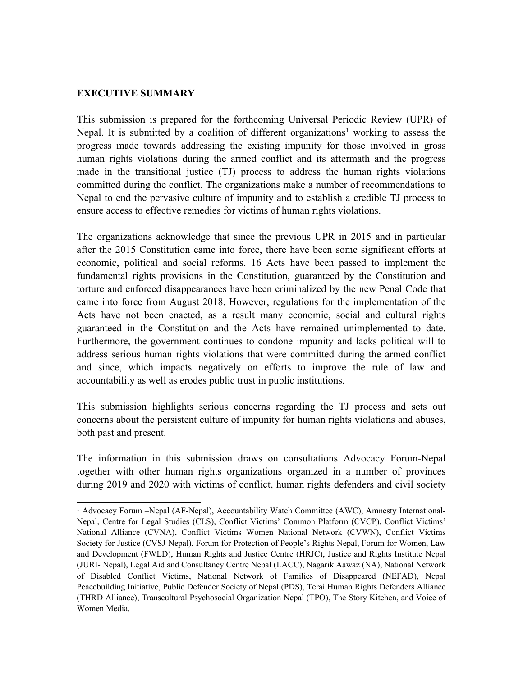## **EXECUTIVE SUMMARY**

This submission is prepared for the forthcoming Universal Periodic Review (UPR) of Nepal. It is submitted by <sup>a</sup> coalition of different organizations <sup>1</sup> working to assess the progress made towards addressing the existing impunity for those involved in gross human rights violations during the armed conflict and its aftermath and the progress made in the transitional justice (TJ) process to address the human rights violations committed during the conflict. The organizations make <sup>a</sup> number of recommendations to Nepal to end the pervasive culture of impunity and to establish <sup>a</sup> credible TJ process to ensure access to effective remedies for victims of human rights violations.

The organizations acknowledge that since the previous UPR in 2015 and in particular after the 2015 Constitution came into force, there have been some significant efforts at economic, political and social reforms. 16 Acts have been passed to implement the fundamental rights provisions in the Constitution, guaranteed by the Constitution and torture and enforced disappearances have been criminalized by the new Penal Code that came into force from August 2018. However, regulations for the implementation of the Acts have not been enacted, as <sup>a</sup> result many economic, social and cultural rights guaranteed in the Constitution and the Acts have remained unimplemented to date. Furthermore, the governmen<sup>t</sup> continues to condone impunity and lacks political will to address serious human rights violations that were committed during the armed conflict and since, which impacts negatively on efforts to improve the rule of law and accountability as well as erodes public trust in public institutions.

This submission highlights serious concerns regarding the TJ process and sets out concerns about the persistent culture of impunity for human rights violations and abuses, both pas<sup>t</sup> and present.

The information in this submission draws on consultations Advocacy Forum-Nepal together with other human rights organizations organized in <sup>a</sup> number of provinces during 2019 and 2020 with victims of conflict, human rights defenders and civil society

<sup>1</sup> Advocacy Forum –Nepal (AF-Nepal), Accountability Watch Committee (AWC), Amnesty International-Nepal, Centre for Legal Studies (CLS), Conflict Victims' Common Platform (CVCP), Conflict Victims' National Alliance (CVNA), Conflict Victims Women National Network (CVWN), Conflict Victims Society for Justice (CVSJ-Nepal), Forum for Protection of People'<sup>s</sup> Rights Nepal, Forum for Women, Law and Development (FWLD), Human Rights and Justice Centre (HRJC), Justice and Rights Institute Nepal (JURI- Nepal), Legal Aid and Consultancy Centre Nepal (LACC), Nagarik Aawaz (NA), National Network of Disabled Conflict Victims, National Network of Families of Disappeared (NEFAD), Nepal Peacebuilding Initiative, Public Defender Society of Nepal (PDS), Terai Human Rights Defenders Alliance (THRD Alliance), Transcultural Psychosocial Organization Nepal (TPO), The Story Kitchen, and Voice of Women Media.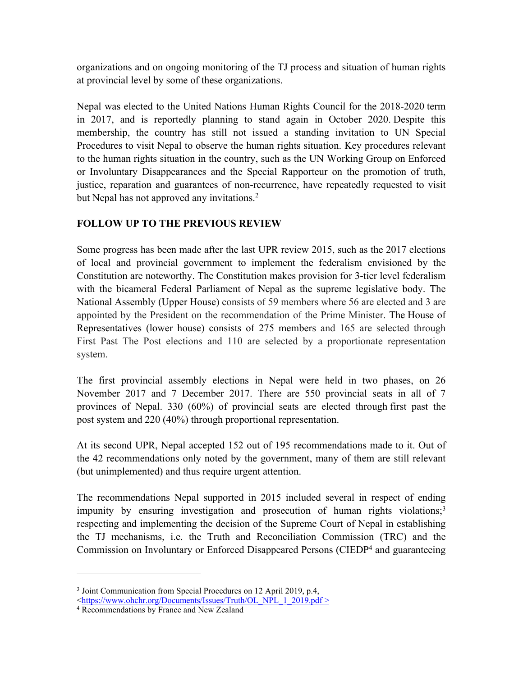organizations and on ongoing monitoring of the TJ process and situation of human rights at provincial level by some of these organizations.

Nepal was elected to the United Nations Human Rights Council for the 2018-2020 term in 2017, and is reportedly planning to stand again in October 2020. Despite this membership, the country has still not issued <sup>a</sup> standing invitation to UN Special Procedures to visit Nepal to observe the human rights situation. Key procedures relevant to the human rights situation in the country, such as the UN Working Group on Enforced or Involuntary Disappearances and the Special Rapporteur on the promotion of truth, justice, reparation and guarantees of non-recurrence, have repeatedly requested to visit but Nepal has not approved any invitations. 2

# **FOLLOW UP TO THE PREVIOUS REVIEW**

Some progress has been made after the last UPR review 2015, such as the 2017 elections of local and provincial governmen<sup>t</sup> to implement the federalism envisioned by the Constitution are noteworthy. The Constitution makes provision for 3-tier level federalism with the bicameral Federal Parliament of Nepal as the supreme legislative body. The National Assembly (Upper House) consists of 59 members where 56 are elected and 3 are appointed by the President on the recommendation of the Prime Minister. The [House](https://en.wikipedia.org/wiki/House_of_Representatives_(Nepal)) of [Representatives](https://en.wikipedia.org/wiki/House_of_Representatives_(Nepal)) (lower house) consists of 275 members and 165 are selected through First Past The Post elections and 110 are selected by <sup>a</sup> proportionate representation system.

The first provincial assembly elections in Nepal were held in two phases, on 26 November 2017 and 7 December 2017. There are 550 provincial seats in all of 7 provinces of Nepal. 330 (60%) of provincial seats are elected through [first](https://en.wikipedia.org/wiki/First_past_the_post) pas<sup>t</sup> the [pos](https://en.wikipedia.org/wiki/First_past_the_post)<sup>t</sup> system and 220 (40%) through proportional representation.

At its second UPR, Nepal accepted 152 out of 195 recommendations made to it. Out of the 42 recommendations only noted by the government, many of them are still relevant (but unimplemented) and thus require urgen<sup>t</sup> attention.

The recommendations Nepal supported in 2015 included several in respec<sup>t</sup> of ending impunity by ensuring investigation and prosecution of human rights violations; 3 respecting and implementing the decision of the Supreme Court of Nepal in establishing the TJ mechanisms, i.e. the Truth and Reconciliation Commission (TRC) and the Commission on Involuntary or Enforced Disappeared Persons (CIEDP<sup>4</sup> and guaranteeing

<sup>&</sup>lt;sup>3</sup> Joint Communication from Special Procedures on 12 April 2019, p.4, <[https://www.ohchr.org/Documents/Issues/Truth/OL\\_NPL\\_1\\_2019.pdf](https://www.ohchr.org/Documents/Issues/Truth/OL_NPL_1_2019.pdf) >

<sup>4</sup> Recommendations by France and New Zealand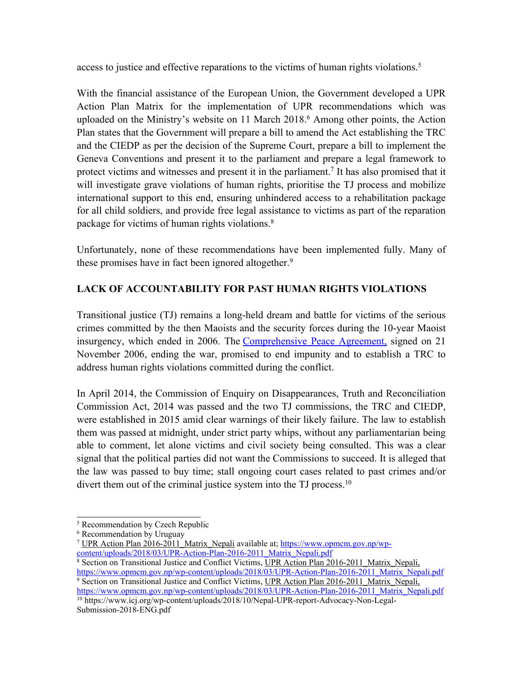access to justice and effective reparations to the victims of human rights violations. 5

With the financial assistance of the European Union, the Government developed <sup>a</sup> UPR Action Plan Matrix for the implementation of UPR recommendations which was uploaded on the Ministry'<sup>s</sup> website on 11 March 2018. <sup>6</sup> Among other points, the Action Plan states that the Government will prepare <sup>a</sup> bill to amend the Act establishing the TRC and the CIEDP as per the decision of the Supreme Court, prepare <sup>a</sup> bill to implement the Geneva Conventions and presen<sup>t</sup> it to the parliament and prepare <sup>a</sup> legal framework to protect victims and witnesses and present it in the parliament.<sup>7</sup> It has also promised that it will investigate grave violations of human rights, prioritise the TJ process and mobilize international suppor<sup>t</sup> to this end, ensuring unhindered access to <sup>a</sup> rehabilitation package for all child soldiers, and provide free legal assistance to victims as par<sup>t</sup> of the reparation package for victims of human rights violations. 8

Unfortunately, none of these recommendations have been implemented fully. Many of these promises have in fact been ignored altogether. 9

# **LACK OF ACCOUNTABILITY FOR PAST HUMAN RIGHTS VIOLATIONS**

Transitional justice (TJ) remains <sup>a</sup> long-held dream and battle for victims of the serious crimes committed by the then Maoists and the security forces during the 10-year Maoist insurgency, which ended in 2006. The [Comprehensive](https://peacemaker.un.org/nepal-comprehensiveagreement2006) Peace Agreement, signed on 21 November 2006, ending the war, promised to end impunity and to establish <sup>a</sup> TRC to address human rights violations committed during the conflict.

In April 2014, the Commission of Enquiry on Disappearances, Truth and Reconciliation Commission Act, 2014 was passed and the two TJ commissions, the TRC and CIEDP, were established in 2015 amid clear warnings of their likely failure. The law to establish them was passed at midnight, under strict party whips, without any parliamentarian being able to comment, let alone victims and civil society being consulted. This was <sup>a</sup> clear signal that the political parties did not want the Commissions to succeed. It is alleged that the law was passed to buy time; stall ongoing court cases related to pas<sup>t</sup> crimes and/or divert them out of the criminal justice system into the TJ process.<sup>10</sup>

[https://www.opmcm.gov.np/wp-content/uploads/2018/03/UPR-Action-Plan-2016-2011\\_Matrix\\_Nepali.pdf](https://www.opmcm.gov.np/wp-content/uploads/2018/03/UPR-Action-Plan-2016-2011_Matrix_Nepali.pdf) <sup>10</sup> https://www.icj.org/wp-content/uploads/2018/10/Nepal-UPR-report-Advocacy-Non-Legal-Submission-2018-ENG.pdf

<sup>5</sup> Recommendation by Czech Republic

<sup>6</sup> Recommendation by Uruguay

<sup>&</sup>lt;sup>7</sup> UPR [Action](https://www.opmcm.gov.np/wp-content/uploads/2018/03/UPR-Action-Plan-2016-2011_Matrix_Nepali.pdf) Plan 2016[-2011](https://www.opmcm.gov.np/wp-content/uploads/2018/03/UPR-Action-Plan-2016-2011_Matrix_Nepali.pdf) [Matrix](https://www.opmcm.gov.np/wp-content/uploads/2018/03/UPR-Action-Plan-2016-2011_Matrix_Nepali.pdf) [Nepali](https://www.opmcm.gov.np/wp-content/uploads/2018/03/UPR-Action-Plan-2016-2011_Matrix_Nepali.pdf) available at; [https://www.opmcm.gov.np/wp](https://www.opmcm.gov.np/wp-content/uploads/2018/03/UPR-Action-Plan-2016-2011_Matrix_Nepali.pdf)[content/uploads/2018/03/UPR-Action-Plan-2016-2011\\_Matrix\\_Nepali.pdf](https://www.opmcm.gov.np/wp-content/uploads/2018/03/UPR-Action-Plan-2016-2011_Matrix_Nepali.pdf)

<sup>&</sup>lt;sup>8</sup> Section on Transitional Justice and Conflict Victims, <u>UPR [Action](https://www.opmcm.gov.np/wp-content/uploads/2018/03/UPR-Action-Plan-2016-2011_Matrix_Nepali.pdf) Plan 2016-2011 Matrix Nepali</u>, [https://www.opmcm.gov.np/wp-content/uploads/2018/03/UPR-Action-Plan-2016-2011\\_Matrix\\_Nepali.pdf](https://www.opmcm.gov.np/wp-content/uploads/2018/03/UPR-Action-Plan-2016-2011_Matrix_Nepali.pdf) <sup>9</sup> Section on Transitional Justice and Conflict Victims, <u>UPR [Action](https://www.opmcm.gov.np/wp-content/uploads/2018/03/UPR-Action-Plan-2016-2011_Matrix_Nepali.pdf) Plan 2016-2011 Matrix Nepali</u>,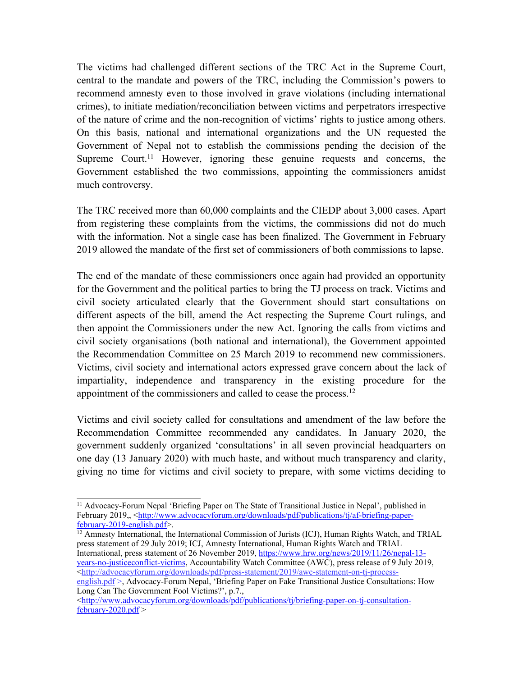The victims had challenged different sections of the TRC Act in the Supreme Court, central to the mandate and powers of the TRC, including the Commission'<sup>s</sup> powers to recommend amnesty even to those involved in grave violations (including international crimes), to initiate mediation/reconciliation between victims and perpetrators irrespective of the nature of crime and the non-recognition of victims' rights to justice among others. On this basis, national and international organizations and the UN requested the Government of Nepal not to establish the commissions pending the decision of the Supreme Court.<sup>11</sup> However, ignoring these genuine requests and concerns, the Government established the two commissions, appointing the commissioners amidst much controversy.

The TRC received more than 60,000 complaints and the CIEDP about 3,000 cases. Apart from registering these complaints from the victims, the commissions did not do much with the information. Not a single case has been finalized. The Government in February 2019 allowed the mandate of the first set of commissioners of both commissions to lapse.

The end of the mandate of these commissioners once again had provided an opportunity for the Government and the political parties to bring the TJ process on track. Victims and civil society articulated clearly that the Government should start consultations on different aspects of the bill, amend the Act respecting the Supreme Court rulings, and then appoint the Commissioners under the new Act. Ignoring the calls from victims and civil society organisations (both national and international), the Government appointed the Recommendation Committee on 25 March 2019 to recommend new commissioners. Victims, civil society and international actors expressed grave concern about the lack of impartiality, independence and transparency in the existing procedure for the appointment of the commissioners and called to cease the process.<sup>12</sup>

Victims and civil society called for consultations and amendment of the law before the Recommendation Committee recommended any candidates. In January 2020, the governmen<sup>t</sup> suddenly organized 'consultations' in all seven provincial headquarters on one day (13 January 2020) with much haste, and without much transparency and clarity, giving no time for victims and civil society to prepare, with some victims deciding to

<sup>12</sup> Amnesty International, the International Commission of Jurists (ICJ), Human Rights Watch, and TRIAL press statement of 29 July 2019; ICJ, Amnesty International, Human Rights Watch and TRIAL International, press statement of 26 November 2019, [https://www.hrw.org/news/2019/11/26/nepal-13](https://www.hrw.org/news/2019/11/26/nepal-13-years-no-justiceconflict-victims) [years-no-justiceconflict-victims](https://www.hrw.org/news/2019/11/26/nepal-13-years-no-justiceconflict-victims), Accountability Watch Committee (AWC), press release of 9 July 2019, <[http://advocacyforum.org/downloads/pdf/press-statement/2019/awc-statement-on-tj-process](http://advocacyforum.org/downloads/pdf/press-statement/2019/awc-statement-on-tj-process-english.pdf)eng[lish.pdf](http://advocacyforum.org/downloads/pdf/press-statement/2019/awc-statement-on-tj-process-english.pdf) >, Advocacy-Forum Nepal, 'Briefing Paper on Fake Transitional Justice Consultations: How

<sup>&</sup>lt;sup>11</sup> Advocacy-Forum Nepal 'Briefing Paper on The State of Transitional Justice in Nepal', published in February 2019,, <[http://www.advocacyforum.org/downloads/pdf/publications/tj/af-briefing-paper](http://www.advocacyforum.org/downloads/pdf/publications/tj/af-briefing-paper-february-2019-english.pdf)[february-2019-english.pdf](http://www.advocacyforum.org/downloads/pdf/publications/tj/af-briefing-paper-february-2019-english.pdf)>.

Long Can The Government Fool Victims?', p.7.,

<sup>&</sup>lt;[http://www.advocacyforum.org/downloads/pdf/publications/tj/briefing-paper-on-tj-consultation](http://www.advocacyforum.org/downloads/pdf/publications/tj/briefing-paper-on-tj-consultation-february-2020.pdf)[february-2020.pdf](http://www.advocacyforum.org/downloads/pdf/publications/tj/briefing-paper-on-tj-consultation-february-2020.pdf) <sup>&</sup>gt;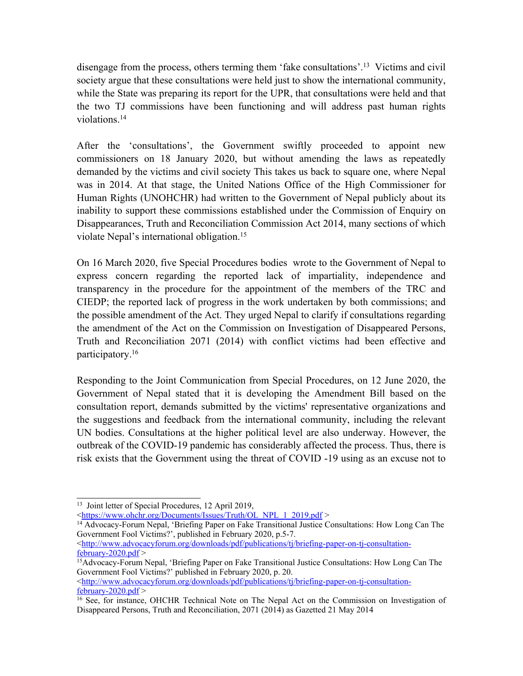disengage from the process, others terming them 'fake consultations'. <sup>13</sup> Victims and civil society argue that these consultations were held just to show the international community, while the State was preparing its repor<sup>t</sup> for the UPR, that consultations were held and that the two TJ commissions have been functioning and will address pas<sup>t</sup> human rights violations. 14

After the 'consultations', the Government swiftly proceeded to appoint new commissioners on 18 January 2020, but without amending the laws as repeatedly demanded by the victims and civil society This takes us back to square one, where Nepal was in 2014. At that stage, the United Nations Office of the High Commissioner for Human Rights (UNOHCHR) had written to the Government of Nepal publicly about its inability to suppor<sup>t</sup> these commissions established under the Commission of Enquiry on Disappearances, Truth and Reconciliation Commission Act 2014, many sections of which violate Nepal'<sup>s</sup> international obligation. 15

On 16 March 2020, five Special Procedures bodies wrote to the Government of Nepal to express concern regarding the reported lack of impartiality, independence and transparency in the procedure for the appointment of the members of the TRC and CIEDP; the reported lack of progress in the work undertaken by both commissions; and the possible amendment of the Act. They urged Nepal to clarify if consultations regarding the amendment of the Act on the Commission on Investigation of Disappeared Persons, Truth and Reconciliation 2071 (2014) with conflict victims had been effective and participatory. 16

Responding to the Joint Communication from Special Procedures, on 12 June 2020, the Government of Nepal stated that it is developing the Amendment Bill based on the consultation report, demands submitted by the victims' representative organizations and the suggestions and feedback from the international community, including the relevant UN bodies. Consultations at the higher political level are also underway. However, the outbreak of the COVID-19 pandemic has considerably affected the process. Thus, there is risk exists that the Government using the threat of COVID -19 using as an excuse not to

 $\langle \text{http://www.advocacyform.org/downloads/pdf/publications/tj/briefing-paper-on-tj-constulation-}$ [february-2020.pdf](http://www.advocacyforum.org/downloads/pdf/publications/tj/briefing-paper-on-tj-consultation-february-2020.pdf) <sup>&</sup>gt;

<sup>13</sup> Joint letter of Special Procedures, 12 April 2019,

<sup>&</sup>lt;[https://www.ohchr.org/Documents/Issues/Truth/OL\\_NPL\\_1\\_2019.pdf](https://www.ohchr.org/Documents/Issues/Truth/OL_NPL_1_2019.pdf) >

<sup>14</sup> Advocacy-Forum Nepal, 'Briefing Paper on Fake Transitional Justice Consultations: How Long Can The Government Fool Victims?', published in February 2020, p.5-7.

 $\langle \frac{\text{http://www.dvocacyform.org/downloads/pdf/publications/tj/briefing-paper-on-tj-constulation-}$ [february-2020.pdf](http://www.advocacyforum.org/downloads/pdf/publications/tj/briefing-paper-on-tj-consultation-february-2020.pdf)  $>$ 

<sup>15</sup>Advocacy-Forum Nepal, 'Briefing Paper on Fake Transitional Justice Consultations: How Long Can The Government Fool Victims?' published in February 2020, p. 20.

<sup>&</sup>lt;sup>16</sup> See, for instance, OHCHR Technical Note on The Nepal Act on the Commission on Investigation of Disappeared Persons, Truth and Reconciliation, 2071 (2014) as Gazetted 21 May 2014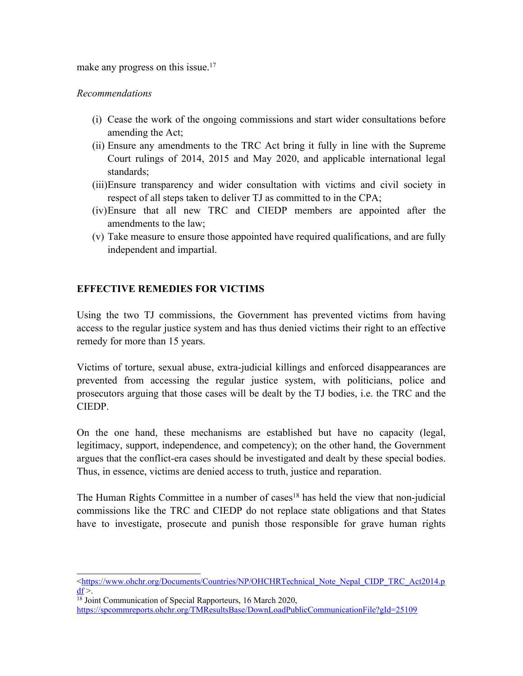make any progress on this issue.<sup>17</sup>

## *Recommendations*

- (i) Cease the work of the ongoing commissions and start wider consultations before amending the Act;
- (ii) Ensure any amendments to the TRC Act bring it fully in line with the Supreme Court rulings of 2014, 2015 and May 2020, and applicable international legal standards;
- (iii)Ensure transparency and wider consultation with victims and civil society in respec<sup>t</sup> of all steps taken to deliver TJ as committed to in the CPA;
- (iv)Ensure that all new TRC and CIEDP members are appointed after the amendments to the law;
- (v) Take measure to ensure those appointed have required qualifications, and are fully independent and impartial.

# **EFFECTIVE REMEDIES FOR VICTIMS**

Using the two TJ commissions, the Government has prevented victims from having access to the regular justice system and has thus denied victims their right to an effective remedy for more than 15 years.

Victims of torture, sexual abuse, extra-judicial killings and enforced disappearances are prevented from accessing the regular justice system, with politicians, police and prosecutors arguing that those cases will be dealt by the TJ bodies, i.e. the TRC and the CIEDP.

On the one hand, these mechanisms are established but have no capacity (legal, legitimacy, support, independence, and competency); on the other hand, the Government argues that the conflict-era cases should be investigated and dealt by these special bodies. Thus, in essence, victims are denied access to truth, justice and reparation.

The Human Rights Committee in <sup>a</sup> number of cases 18 has held the view that non-judicial commissions like the TRC and CIEDP do not replace state obligations and that States have to investigate, prosecute and punish those responsible for grave human rights

<sup>&</sup>lt;[https://www.ohchr.org/Documents/Countries/NP/OHCHRTechnical\\_Note\\_Nepal\\_CIDP\\_TRC\\_Act2014.p](https://www.ohchr.org/Documents/Countries/NP/OHCHRTechnical_Note_Nepal_CIDP_TRC_Act2014.pdf)  $df$  >.

<sup>&</sup>lt;sup>18</sup> Joint Communication of Special Rapporteurs, 16 March 2020,

<https://spcommreports.ohchr.org/TMResultsBase/DownLoadPublicCommunicationFile?gId=25109>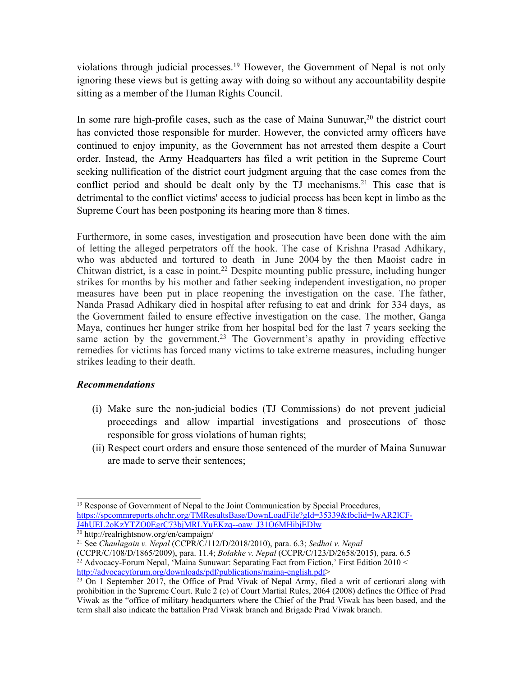violations through judicial processes. <sup>19</sup> However, the Government of Nepal is not only ignoring these views but is getting away with doing so without any accountability despite sitting as <sup>a</sup> member of the Human Rights Council.

In some rare high-profile cases, such as the case of Maina Sunuwar, $20$  the district court has convicted those responsible for murder. However, the convicted army officers have continued to enjoy impunity, as the Government has not arrested them despite <sup>a</sup> Court order. Instead, the Army Headquarters has filed <sup>a</sup> writ petition in the Supreme Court seeking nullification of the district court judgment arguing that the case comes from the conflict period and should be dealt only by the TJ mechanisms. 21 This case that is detrimental to the conflict victims' access to judicial process has been kept in limbo as the Supreme Court has been postponing its hearing more than 8 times.

Furthermore, in some cases, investigation and prosecution have been done with the aim of letting the alleged perpetrators off the hook. The case of Krishna Prasad Adhikary, who was abducted and tortured to death in June 2004 by the then Maoist cadre in Chitwan district, is <sup>a</sup> case in point. <sup>22</sup> Despite mounting public pressure, including hunger strikes for months by his mother and father seeking independent investigation, no proper measures have been pu<sup>t</sup> in place reopening the investigation on the case. The father, Nanda Prasad Adhikary died in hospital after refusing to eat and drink for 334 days, as the Government failed to ensure effective investigation on the case. The mother, Ganga Maya, continues her hunger strike from her hospital bed for the last 7 years seeking the same action by the government.<sup>23</sup> The Government's apathy in providing effective remedies for victims has forced many victims to take extreme measures, including hunger strikes leading to their death.

### *Recommendations*

- (i) Make sure the non-judicial bodies (TJ Commissions) do not preven<sup>t</sup> judicial proceedings and allow impartial investigations and prosecutions of those responsible for gross violations of human rights;
- (ii) Respect court orders and ensure those sentenced of the murder of Maina Sunuwar are made to serve their sentences;

20 http://realrightsnow.org/en/campaign/

<sup>&</sup>lt;sup>19</sup> Response of Government of Nepal to the Joint Communication by Special Procedures, [https://spcommreports.ohchr.org/TMResultsBase/DownLoadFile?gId=35339&fbclid=IwAR2lCF-](https://spcommreports.ohchr.org/TMResultsBase/DownLoadFile?gId=35339&fbclid=IwAR2lCF-J4hUEL2oKzYTZO0EgrC73bjMRLYuEKzq--oaw_J31O6MHibjEDlw)[J4hUEL2oKzYTZO0EgrC73bjMRLYuEKzq--oaw\\_J31O6MHibjEDlw](https://spcommreports.ohchr.org/TMResultsBase/DownLoadFile?gId=35339&fbclid=IwAR2lCF-J4hUEL2oKzYTZO0EgrC73bjMRLYuEKzq--oaw_J31O6MHibjEDlw)

<sup>21</sup> See *Chaulagain v. Nepal* (CCPR/C/112/D/2018/2010), para. 6.3; *Sedhai v. Nepal*

<sup>(</sup>CCPR/C/108/D/1865/2009), para. 11.4; *Bolakhe v. Nepal* (CCPR/C/123/D/2658/2015), para. 6.5 <sup>22</sup> Advocacy-Forum Nepal, 'Maina Sunuwar: Separating Fact from Fiction,' First Edition 2010 < <http://advocacyforum.org/downloads/pdf/publications/maina-english.pdf>>

 $23$  On 1 September 2017, the Office of Prad Vivak of Nepal Army, filed a writ of certiorari along with prohibition in the Supreme Court. Rule 2 (c) of Court Martial Rules, 2064 (2008) defines the Office of Prad Viwak as the "office of military headquarters where the Chief of the Prad Viwak has been based, and the term shall also indicate the battalion Prad Viwak branch and Brigade Prad Viwak branch.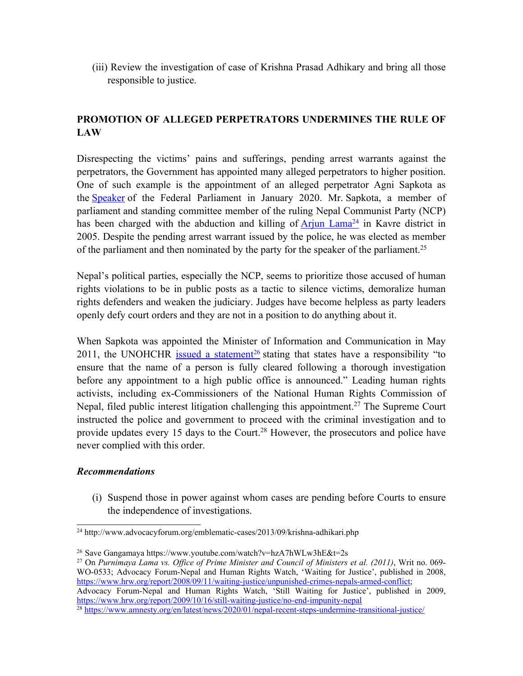(iii) Review the investigation of case of Krishna Prasad Adhikary and bring all those responsible to justice.

# **PROMOTION OF ALLEGED PERPETRATORS UNDERMINES THE RULE OF LAW**

Disrespecting the victims' pains and sufferings, pending arrest warrants against the perpetrators, the Government has appointed many alleged perpetrators to higher position. One of such example is the appointment of an alleged perpetrator Agni Sapkota as the [Speaker](https://www.amnesty.org/user/Downloads/The%20Himalayan%20Times%20(%2019%20January%202020)%20https:/thehimalayantimes.com/nepal/ncp-ncp-nominates-agni-sapkota-as-speaker-of-hor/) of the Federal Parliament in January 2020. Mr. Sapkota, <sup>a</sup> member of parliament and standing committee member of the ruling Nepal Communist Party (NCP) has been charged with the abduction and killing of **[Arjun](http://advocacyforum.org/emblematic-cases/2011/01/arjun-bahadur-lama.php) Lama<sup>24</sup>** in Kavre district in 2005. Despite the pending arrest warrant issued by the police, he was elected as member of the parliament and then nominated by the party for the speaker of the parliament.<sup>25</sup>

Nepal'<sup>s</sup> political parties, especially the NCP, seems to prioritize those accused of human rights violations to be in public posts as <sup>a</sup> tactic to silence victims, demoralize human rights defenders and weaken the judiciary. Judges have become helpless as party leaders openly defy court orders and they are not in <sup>a</sup> position to do anything about it.

When Sapkota was appointed the Minister of Information and Communication in May 2011, the UNOHCHR issued a [statement](https://nepal.ohchr.org/en/resources/Documents/English/pressreleases/Year%202011/May/2011_05_05_PR_Agni_Sapkota_E.pdf)<sup>26</sup> stating that states have a responsibility "to ensure that the name of <sup>a</sup> person is fully cleared following <sup>a</sup> thorough investigation before any appointment to <sup>a</sup> high public office is announced." Leading human rights activists, including ex-Commissioners of the National Human Rights Commission of Nepal, filed public interest litigation challenging this appointment. 27 The Supreme Court instructed the police and governmen<sup>t</sup> to proceed with the criminal investigation and to provide updates every 15 days to the Court.<sup>28</sup> However, the prosecutors and police have never complied with this order.

### *Recommendations*

(i) Suspend those in power against whom cases are pending before Courts to ensure the independence of investigations.

<sup>24</sup> http://www.advocacyforum.org/emblematic-cases/2013/09/krishna-adhikari.php

<sup>26</sup> Save Gangamaya https://www.youtube.com/watch?v=hzA7hWLw3hE&t=2s

<sup>27</sup> On *Purnimaya Lama vs. Office of Prime Minister and Council of Ministers et al. (2011)*, Writ no. 069- WO-0533; Advocacy Forum-Nepal and Human Rights Watch, 'Waiting for Justice', published in 2008, <https://www.hrw.org/report/2008/09/11/waiting-justice/unpunished-crimes-nepals-armed-conflict>;

Advocacy Forum-Nepal and Human Rights Watch, 'Still Waiting for Justice', published in 2009, <https://www.hrw.org/report/2009/10/16/still-waiting-justice/no-end-impunity-nepal>

<sup>&</sup>lt;sup>28</sup> <https://www.amnesty.org/en/latest/news/2020/01/nepal-recent-steps-undermine-transitional-justice/>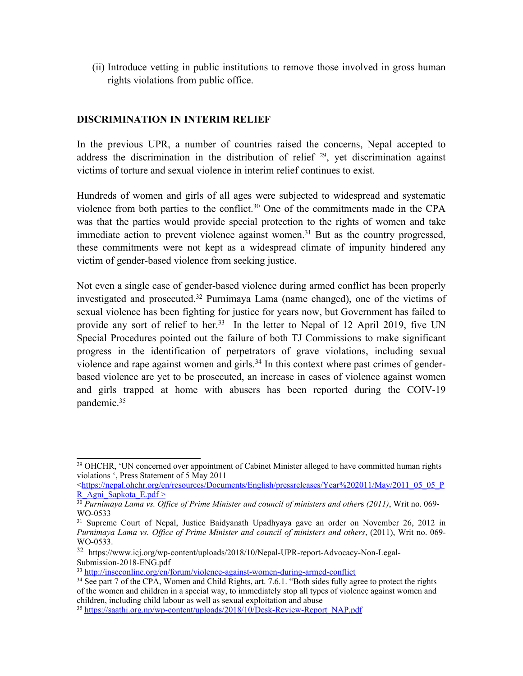(ii) Introduce vetting in public institutions to remove those involved in gross human rights violations from public office.

# **DISCRIMINATION IN INTERIM RELIEF**

In the previous UPR, <sup>a</sup> number of countries raised the concerns, Nepal accepted to address the discrimination in the distribution of relief <sup>29</sup>, yet discrimination against victims of torture and sexual violence in interim relief continues to exist.

Hundreds of women and girls of all ages were subjected to widespread and systematic violence from both parties to the conflict. <sup>30</sup> One of the commitments made in the CPA was that the parties would provide special protection to the rights of women and take immediate action to preven<sup>t</sup> violence against women. <sup>31</sup> But as the country progressed, these commitments were not kept as <sup>a</sup> widespread climate of impunity hindered any victim of gender-based violence from seeking justice.

Not even <sup>a</sup> single case of gender-based violence during armed conflict has been properly investigated and prosecuted. 32 Purnimaya Lama (name changed), one of the victims of sexual violence has been fighting for justice for years now, but Government has failed to provide any sort of relief to her.<sup>33</sup> In the letter to Nepal of 12 April 2019, five UN Special Procedures pointed out the failure of both TJ Commissions to make significant progress in the identification of perpetrators of grave violations, including sexual violence and rape against women and girls.<sup>34</sup> In this context where past crimes of genderbased violence are ye<sup>t</sup> to be prosecuted, an increase in cases of violence against women and girls trapped at home with abusers has been reported during the COIV-19 pandemic. 35

 $\langle$ [https://nepal.ohchr.org/en/resources/Documents/English/pressreleases/Year%202011/May/2011\\_05\\_05\\_P](https://nepal.ohchr.org/en/resources/Documents/English/pressreleases/Year%202011/May/2011_05_05_PR_Agni_Sapkota_E.pdf) [R\\_Agni\\_Sapkota\\_E.pdf](https://nepal.ohchr.org/en/resources/Documents/English/pressreleases/Year%202011/May/2011_05_05_PR_Agni_Sapkota_E.pdf) <sup>&</sup>gt;

<sup>&</sup>lt;sup>29</sup> OHCHR, 'UN concerned over appointment of Cabinet Minister alleged to have committed human rights violations ', Press Statement of 5 May 2011

<sup>30</sup> *Purnimaya Lama vs. Office of Prime Minister and council of ministers and other*<sup>s</sup> *(2011)*, Writ no. 069- WO-0533

<sup>&</sup>lt;sup>31</sup> Supreme Court of Nepal, Justice Baidyanath Upadhyaya gave an order on November 26, 2012 in *Purnimaya Lama vs. Office of Prime Minister and council of ministers and others*, (2011), Writ no. 069- WO-0533.

<sup>32</sup> https://www.icj.org/wp-content/uploads/2018/10/Nepal-UPR-report-Advocacy-Non-Legal-Submission-2018-ENG.pdf

<sup>&</sup>lt;sup>33</sup> <http://inseconline.org/en/forum/violence-against-women-during-armed-conflict>

<sup>&</sup>lt;sup>34</sup> See part 7 of the CPA, Women and Child Rights, art. 7.6.1. "Both sides fully agree to protect the rights of the women and children in <sup>a</sup> special way, to immediately stop all types of violence against women and children, including child labour as well as sexual exploitation and abuse

<sup>&</sup>lt;sup>35</sup> [https://saathi.org.np/wp-content/uploads/2018/10/Desk-Review-Report\\_NAP.pdf](https://saathi.org.np/wp-content/uploads/2018/10/Desk-Review-Report_NAP.pdf)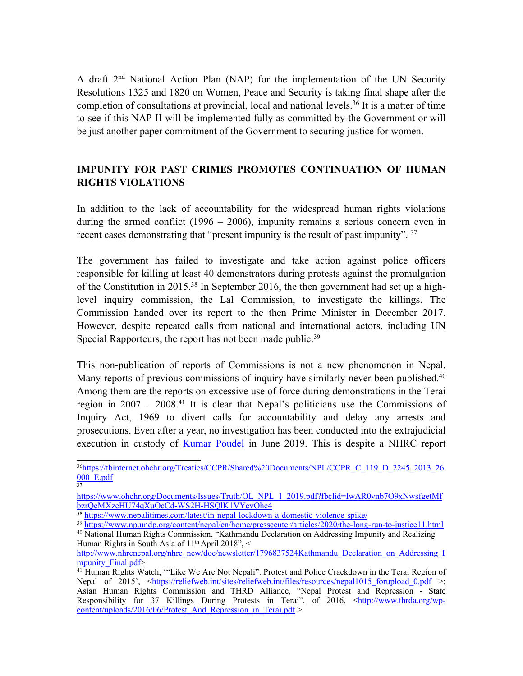<sup>A</sup> draft <sup>2</sup>nd National Action Plan (NAP) for the implementation of the UN Security Resolutions 1325 and 1820 on Women, Peace and Security is taking final shape after the completion of consultations at provincial, local and national levels. 36 It is <sup>a</sup> matter of time to see if this NAP II will be implemented fully as committed by the Government or will be just another paper commitment of the Government to securing justice for women.

# **IMPUNITY FOR PAST CRIMES PROMOTES CONTINUATION OF HUMAN RIGHTS VIOLATIONS**

In addition to the lack of accountability for the widespread human rights violations during the armed conflict (1996 – 2006), impunity remains a serious concern even in recent cases demonstrating that "present impunity is the result of past impunity". <sup>37</sup>

The governmen<sup>t</sup> has failed to investigate and take action against police officers responsible for killing at least 40 demonstrators during protests against the promulgation of the Constitution in 2015. 38 In September 2016, the then governmen<sup>t</sup> had set up <sup>a</sup> highlevel inquiry commission, the Lal Commission, to investigate the killings. The Commission handed over its repor<sup>t</sup> to the then Prime Minister in December 2017. However, despite repeated calls from national and international actors, including UN Special Rapporteurs, the repor<sup>t</sup> has not been made public. 39

This non-publication of reports of Commissions is not <sup>a</sup> new phenomenon in Nepal. Many reports of previous commissions of inquiry have similarly never been published.<sup>40</sup> Among them are the reports on excessive use of force during demonstrations in the Terai region in 2007 – 2008. 41 It is clear that Nepal'<sup>s</sup> politicians use the Commissions of Inquiry Act, 1969 to divert calls for accountability and delay any arrests and prosecutions. Even after <sup>a</sup> year, no investigation has been conducted into the extrajudicial execution in custody of Kumar [Poudel](https://kathmandupost.com/national/2019/10/22/killing-of-chand-party-cadre-kumar-paudel-was-extrajudicial-human-rights-commission-says) in June 2019. This is despite <sup>a</sup> NHRC repor<sup>t</sup>

37

<sup>&</sup>lt;sup>36</sup>[https://tbinternet.ohchr.org/Treaties/CCPR/Shared%20Documents/NPL/CCPR\\_C\\_119\\_D\\_2245\\_2013\\_26](https://tbinternet.ohchr.org/Treaties/CCPR/Shared%20Documents/NPL/CCPR_C_119_D_2245_2013_26000_E.pdf)  $000$  E.pdf

[https://www.ohchr.org/Documents/Issues/Truth/OL\\_NPL\\_1\\_2019.pdf?fbclid=IwAR0vnb7O9xNwsfgetMf](https://www.ohchr.org/Documents/Issues/Truth/OL_NPL_1_2019.pdf?fbclid=IwAR0vnb7O9xNwsfgetMfbzrQcMXzcHU74qXuOcCd-WS2H-HSQlK1VYevOhc4) [bzrQcMXzcHU74qXuOcCd-WS2H-HSQlK1VYevOhc4](https://www.ohchr.org/Documents/Issues/Truth/OL_NPL_1_2019.pdf?fbclid=IwAR0vnb7O9xNwsfgetMfbzrQcMXzcHU74qXuOcCd-WS2H-HSQlK1VYevOhc4)

<sup>&</sup>lt;sup>38</sup> <https://www.nepalitimes.com/latest/in-nepal-lockdown-a-domestic-violence-spike/>

<sup>39</sup> <https://www.np.undp.org/content/nepal/en/home/presscenter/articles/2020/the-long-run-to-justice11.html>

<sup>40</sup> National Human Rights Commission, "Kathmandu Declaration on Addressing Impunity and Realizing Human Rights in South Asia of 11<sup>th</sup> April 2018", <

[http://www.nhrcnepal.org/nhrc\\_new/doc/newsletter/1796837524Kathmandu\\_Declaration\\_on\\_Addressing\\_I](http://www.nhrcnepal.org/nhrc_new/doc/newsletter/1796837524Kathmandu_Declaration_on_Addressing_Impunity_Final.pdf) mpunity Final.pdf>

<sup>&</sup>lt;sup>41</sup> Human Rights Watch, "'Like We Are Not Nepali". Protest and Police Crackdown in the Terai Region of Nepal of 2015', <[https://reliefweb.int/sites/reliefweb.int/files/resources/nepal1015\\_forupload\\_0.pdf](https://reliefweb.int/sites/reliefweb.int/files/resources/nepal1015_forupload_0.pdf) >; Asian Human Rights Commission and THRD Alliance, "Nepal Protest and Repression - State Responsibility for 37 Killings During Protests in Terai", of 2016,  $\langle \frac{\text{http://www.thrda.org/wp-}}{\text{http://www.thrda.org/wp-}}$ [content/uploads/2016/06/Protest\\_And\\_Repression\\_in\\_Terai.pdf](http://www.thrda.org/wp-content/uploads/2016/06/Protest_And_Repression_in_Terai.pdf) >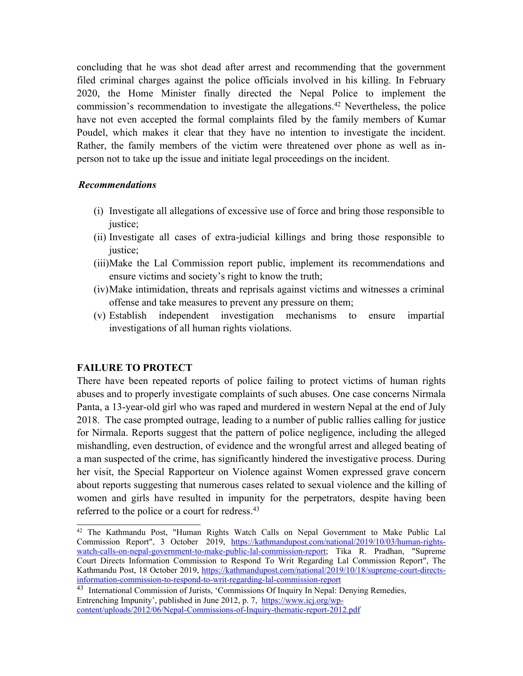concluding that he was shot dead after arrest and recommending that the governmen<sup>t</sup> filed criminal charges against the police officials involved in his killing. In February 2020, the Home Minister finally directed the Nepal Police to implement the commission'<sup>s</sup> recommendation to investigate the allegations. <sup>42</sup> Nevertheless, the police have not even accepted the formal complaints filed by the family members of Kumar Poudel, which makes it clear that they have no intention to investigate the incident. Rather, the family members of the victim were threatened over phone as well as inperson not to take up the issue and initiate legal proceedings on the incident.

### *Recommendations*

- (i) Investigate all allegations of excessive use of force and bring those responsible to justice;
- (ii) Investigate all cases of extra-judicial killings and bring those responsible to justice:
- (iii)Make the Lal Commission repor<sup>t</sup> public, implement its recommendations and ensure victims and society'<sup>s</sup> right to know the truth;
- (iv)Make intimidation, threats and reprisals against victims and witnesses <sup>a</sup> criminal offense and take measures to preven<sup>t</sup> any pressure on them;
- (v) Establish independent investigation mechanisms to ensure impartial investigations of all human rights violations.

## **FAILURE TO PROTECT**

There have been repeated reports of police failing to protect victims of human rights abuses and to properly investigate complaints of such abuses. One case concerns Nirmala Panta, <sup>a</sup> 13-year-old girl who was raped and murdered in western Nepal at the end of July 2018. The case prompted outrage, leading to <sup>a</sup> number of public rallies calling for justice for Nirmala. Reports sugges<sup>t</sup> that the pattern of police negligence, including the alleged mishandling, even destruction, of evidence and the wrongful arrest and alleged beating of <sup>a</sup> man suspected of the crime, has significantly hindered the investigative process. During her visit, the Special Rapporteur on Violence against Women expressed grave concern about reports suggesting that numerous cases related to sexual violence and the killing of women and girls have resulted in impunity for the perpetrators, despite having been referred to the police or a court for redress.<sup>43</sup>

<sup>42</sup> The Kathmandu Post, "Human Rights Watch Calls on Nepal Government to Make Public Lal Commission Report", 3 October 2019, [https://kathmandupost.com/national/2019/10/03/human-rights](https://kathmandupost.com/national/2019/10/03/human-rights-watch-calls-on-nepal-government-to-make-public-lal-commission-report)[watch-calls-on-nepal-government-to-make-public-lal-commission-report](https://kathmandupost.com/national/2019/10/03/human-rights-watch-calls-on-nepal-government-to-make-public-lal-commission-report); Tika R. Pradhan, "Supreme Court Directs Information Commission to Respond To Writ Regarding Lal Commission Report", The Kathmandu Post, 18 October 2019, [https://kathmandupost.com/national/2019/10/18/supreme-court-directs](https://kathmandupost.com/national/2019/10/18/supreme-court-directs-information-commission-to-respond-to-writ-regarding-lal-commission-report)[information-commission-to-respond-to-writ-regarding-lal-commission-report](https://kathmandupost.com/national/2019/10/18/supreme-court-directs-information-commission-to-respond-to-writ-regarding-lal-commission-report)

<sup>&</sup>lt;sup>43</sup> International Commission of Jurists, 'Commissions Of Inquiry In Nepal: Denying Remedies, Entrenching Impunity', published in June 2012, p. 7, [https://www.icj.org/wp](https://www.icj.org/wp-content/uploads/2012/06/Nepal-Commissions-of-Inquiry-thematic-report-2012.pdf)[content/uploads/2012/06/Nepal-Commissions-of-Inquiry-thematic-report-2012.pdf](https://www.icj.org/wp-content/uploads/2012/06/Nepal-Commissions-of-Inquiry-thematic-report-2012.pdf)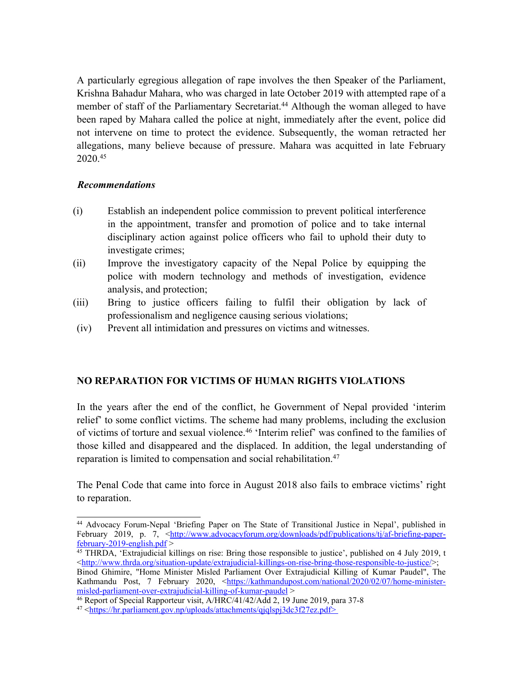A particularly egregious allegation of rape involves the then Speaker of the Parliament, Krishna Bahadur Mahara, who was charged in late October 2019 with attempted rape of <sup>a</sup> member of staff of the Parliamentary Secretariat. <sup>44</sup> Although the woman alleged to have been raped by Mahara called the police at night, immediately after the event, police did not intervene on time to protect the evidence. Subsequently, the woman retracted her allegations, many believe because of pressure. Mahara was acquitted in late February 2020. 45

### *Recommendations*

- (i) Establish an independent police commission to preven<sup>t</sup> political interference in the appointment, transfer and promotion of police and to take internal disciplinary action against police officers who fail to uphold their duty to investigate crimes;
- (ii) Improve the investigatory capacity of the Nepal Police by equipping the police with modern technology and methods of investigation, evidence analysis, and protection;
- (iii) Bring to justice officers failing to fulfil their obligation by lack of professionalism and negligence causing serious violations;
- (iv) Prevent all intimidation and pressures on victims and witnesses.

## **NO REPARATION FOR VICTIMS OF HUMAN RIGHTS VIOLATIONS**

In the years after the end of the conflict, he Government of Nepal provided 'interim relief' to some conflict victims. The scheme had many problems, including the exclusion of victims of torture and sexual violence. 46 'Interim relief' was confined to the families of those killed and disappeared and the displaced. In addition, the legal understanding of reparation is limited to compensation and social rehabilitation. 47

The Penal Code that came into force in August 2018 also fails to embrace victims' right to reparation.

<sup>44</sup> Advocacy Forum-Nepal 'Briefing Paper on The State of Transitional Justice in Nepal', published in February 2019, p. 7, [<http://www.advocacyforum.org/downloads/pdf/publications/tj/af-briefing-paper](http://www.advocacyforum.org/downloads/pdf/publications/tj/af-briefing-paper-february-2019-english.pdf) $f<sub>ebruary-2019-english.pdf</sub>$ 

<sup>45</sup> THRDA, 'Extrajudicial killings on rise: Bring those responsible to justice', published on 4 July 2019, <sup>t</sup>  $\langle \frac{\text{http://www.thrda.org/situation-update/extrajudicial-killings-on-rise-bring-those-responsible-to-justice/}{\rangle}$ ;

Binod Ghimire, "Home Minister Misled Parliament Over Extrajudicial Killing of Kumar Paudel", The Kathmandu Post, 7 February 2020, <[https://kathmandupost.com/national/2020/02/07/home-minister](https://kathmandupost.com/national/2020/02/07/home-minister-misled-parliament-over-extrajudicial-killing-of-kumar-paudel)[misled-parliament-over-extrajudicial-killing-of-kumar-paudel](https://kathmandupost.com/national/2020/02/07/home-minister-misled-parliament-over-extrajudicial-killing-of-kumar-paudel) <sup>&</sup>gt;

<sup>46</sup> Report of Special Rapporteur visit, A/HRC/41/42/Add 2, 19 June 2019, para 37-8

<sup>&</sup>lt;sup>47</sup> <<https://hr.parliament.gov.np/uploads/attachments/qjqlspj3dc3f27ez.pdf>>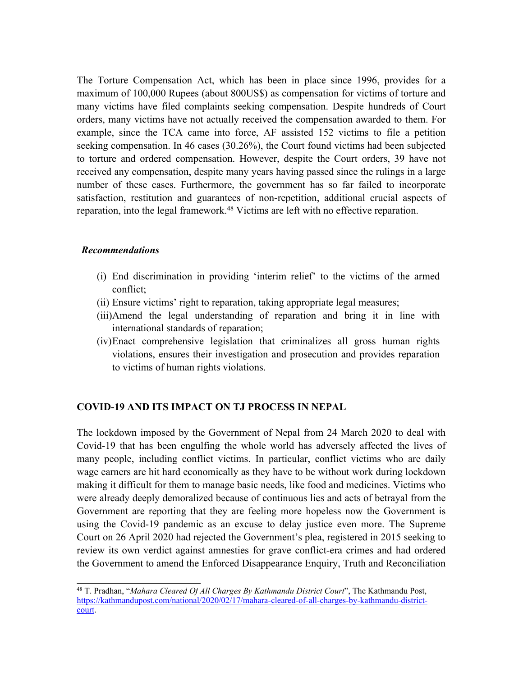The Torture Compensation Act, which has been in place since 1996, provides for <sup>a</sup> maximum of 100,000 Rupees (about 800US\$) as compensation for victims of torture and many victims have filed complaints seeking compensation. Despite hundreds of Court orders, many victims have not actually received the compensation awarded to them. For example, since the TCA came into force, AF assisted 152 victims to file <sup>a</sup> petition seeking compensation. In 46 cases (30.26%), the Court found victims had been subjected to torture and ordered compensation. However, despite the Court orders, 39 have not received any compensation, despite many years having passed since the rulings in <sup>a</sup> large number of these cases. Furthermore, the governmen<sup>t</sup> has so far failed to incorporate satisfaction, restitution and guarantees of non-repetition, additional crucial aspects of reparation, into the legal framework. <sup>48</sup> Victims are left with no effective reparation.

#### *Recommendations*

- (i) End discrimination in providing 'interim relief' to the victims of the armed conflict;
- (ii) Ensure victims' right to reparation, taking appropriate legal measures;
- (iii)Amend the legal understanding of reparation and bring it in line with international standards of reparation;
- (iv)Enact comprehensive legislation that criminalizes all gross human rights violations, ensures their investigation and prosecution and provides reparation to victims of human rights violations.

#### **COVID-19 AND ITS IMPACT ON TJ PROCESS IN NEPAL**

The lockdown imposed by the Government of Nepal from 24 March 2020 to deal with Covid-19 that has been engulfing the whole world has adversely affected the lives of many people, including conflict victims. In particular, conflict victims who are daily wage earners are hit hard economically as they have to be without work during lockdown making it difficult for them to manage basic needs, like food and medicines. Victims who were already deeply demoralized because of continuous lies and acts of betrayal from the Government are reporting that they are feeling more hopeless now the Government is using the Covid-19 pandemic as an excuse to delay justice even more. The Supreme Court on 26 April 2020 had rejected the Government'<sup>s</sup> plea, registered in 2015 seeking to review its own verdict against amnesties for grave conflict-era crimes and had ordered the Government to amend the Enforced Disappearance Enquiry, Truth and Reconciliation

<sup>48</sup> T. Pradhan, "*Mahara Cleared Of All Charges By Kathmandu District Court*", The Kathmandu Post, [https://kathmandupost.com/national/2020/02/17/mahara-cleared-of-all-charges-by-kathmandu-district](https://kathmandupost.com/national/2020/02/17/mahara-cleared-of-all-charges-by-kathmandu-district-court)[court](https://kathmandupost.com/national/2020/02/17/mahara-cleared-of-all-charges-by-kathmandu-district-court).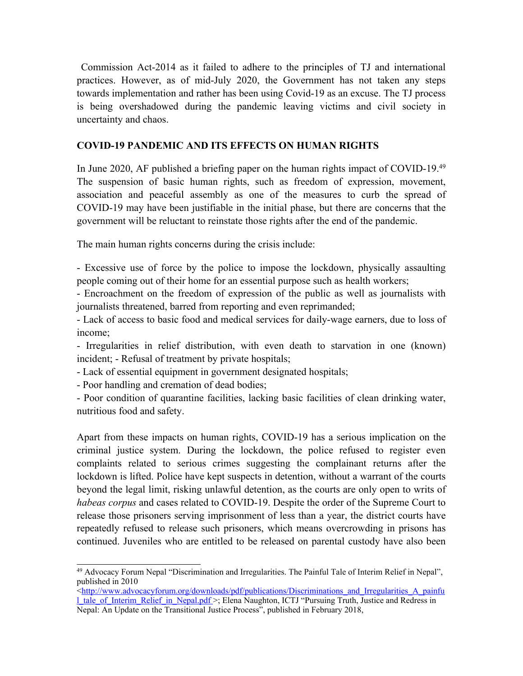Commission Act-2014 as it failed to adhere to the principles of TJ and international practices. However, as of mid-July 2020, the Government has not taken any steps towards implementation and rather has been using Covid-19 as an excuse. The TJ process is being overshadowed during the pandemic leaving victims and civil society in uncertainty and chaos.

## **COVID-19 PANDEMIC AND ITS EFFECTS ON HUMAN RIGHTS**

In June 2020, AF published <sup>a</sup> briefing paper on the human rights impact of COVID-19. 49 The suspension of basic human rights, such as freedom of expression, movement, association and peaceful assembly as one of the measures to curb the spread of COVID-19 may have been justifiable in the initial phase, but there are concerns that the governmen<sup>t</sup> will be reluctant to reinstate those rights after the end of the pandemic.

The main human rights concerns during the crisis include:

- Excessive use of force by the police to impose the lockdown, physically assaulting people coming out of their home for an essential purpose such as health workers;

- Encroachment on the freedom of expression of the public as well as journalists with journalists threatened, barred from reporting and even reprimanded;

- Lack of access to basic food and medical services for daily-wage earners, due to loss of income;

- Irregularities in relief distribution, with even death to starvation in one (known) incident; - Refusal of treatment by private hospitals;

- Lack of essential equipment in governmen<sup>t</sup> designated hospitals;

- Poor handling and cremation of dead bodies;

- Poor condition of quarantine facilities, lacking basic facilities of clean drinking water, nutritious food and safety.

Apart from these impacts on human rights, COVID-19 has <sup>a</sup> serious implication on the criminal justice system. During the lockdown, the police refused to register even complaints related to serious crimes suggesting the complainant returns after the lockdown is lifted. Police have kept suspects in detention, without <sup>a</sup> warrant of the courts beyond the legal limit, risking unlawful detention, as the courts are only open to writs of *habeas corpus* and cases related to COVID-19. Despite the order of the Supreme Court to release those prisoners serving imprisonment of less than <sup>a</sup> year, the district courts have repeatedly refused to release such prisoners, which means overcrowding in prisons has continued. Juveniles who are entitled to be released on parental custody have also been

<sup>49</sup> Advocacy Forum Nepal "Discrimination and Irregularities. The Painful Tale of Interim Relief in Nepal", published in 2010

<sup>&</sup>lt;[http://www.advocacyforum.org/downloads/pdf/publications/Discriminations\\_and\\_Irregularities\\_A\\_painfu](http://www.advocacyforum.org/downloads/pdf/publications/Discriminations_and_Irregularities_A_painful_tale_of_Interim_Relief_in_Nepal.pdf) 1 tale\_of\_Interim\_Relief\_in\_Nepal.pdf >; Elena Naughton, ICTJ "Pursuing Truth, Justice and Redress in Nepal: An Update on the Transitional Justice Process", published in February 2018,